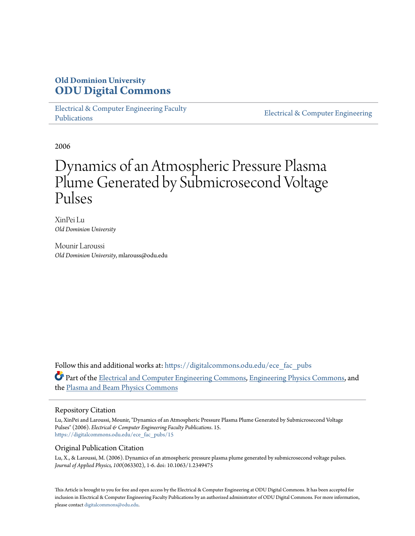# **Old Dominion University [ODU Digital Commons](https://digitalcommons.odu.edu?utm_source=digitalcommons.odu.edu%2Fece_fac_pubs%2F15&utm_medium=PDF&utm_campaign=PDFCoverPages)**

[Electrical & Computer Engineering Faculty](https://digitalcommons.odu.edu/ece_fac_pubs?utm_source=digitalcommons.odu.edu%2Fece_fac_pubs%2F15&utm_medium=PDF&utm_campaign=PDFCoverPages) [Publications](https://digitalcommons.odu.edu/ece_fac_pubs?utm_source=digitalcommons.odu.edu%2Fece_fac_pubs%2F15&utm_medium=PDF&utm_campaign=PDFCoverPages)

[Electrical & Computer Engineering](https://digitalcommons.odu.edu/ece?utm_source=digitalcommons.odu.edu%2Fece_fac_pubs%2F15&utm_medium=PDF&utm_campaign=PDFCoverPages)

2006

# Dynamics of an Atmospheric Pressure Plasma Plume Generated by Submicrosecond Voltage Pulses

XinPei Lu *Old Dominion University*

Mounir Laroussi *Old Dominion University*, mlarouss@odu.edu

Follow this and additional works at: [https://digitalcommons.odu.edu/ece\\_fac\\_pubs](https://digitalcommons.odu.edu/ece_fac_pubs?utm_source=digitalcommons.odu.edu%2Fece_fac_pubs%2F15&utm_medium=PDF&utm_campaign=PDFCoverPages) Part of the [Electrical and Computer Engineering Commons](http://network.bepress.com/hgg/discipline/266?utm_source=digitalcommons.odu.edu%2Fece_fac_pubs%2F15&utm_medium=PDF&utm_campaign=PDFCoverPages), [Engineering Physics Commons](http://network.bepress.com/hgg/discipline/200?utm_source=digitalcommons.odu.edu%2Fece_fac_pubs%2F15&utm_medium=PDF&utm_campaign=PDFCoverPages), and the [Plasma and Beam Physics Commons](http://network.bepress.com/hgg/discipline/205?utm_source=digitalcommons.odu.edu%2Fece_fac_pubs%2F15&utm_medium=PDF&utm_campaign=PDFCoverPages)

## Repository Citation

Lu, XinPei and Laroussi, Mounir, "Dynamics of an Atmospheric Pressure Plasma Plume Generated by Submicrosecond Voltage Pulses" (2006). *Electrical & Computer Engineering Faculty Publications*. 15. [https://digitalcommons.odu.edu/ece\\_fac\\_pubs/15](https://digitalcommons.odu.edu/ece_fac_pubs/15?utm_source=digitalcommons.odu.edu%2Fece_fac_pubs%2F15&utm_medium=PDF&utm_campaign=PDFCoverPages)

## Original Publication Citation

Lu, X., & Laroussi, M. (2006). Dynamics of an atmospheric pressure plasma plume generated by submicrosecond voltage pulses. *Journal of Applied Physics, 100*(063302), 1-6. doi: 10.1063/1.2349475

This Article is brought to you for free and open access by the Electrical & Computer Engineering at ODU Digital Commons. It has been accepted for inclusion in Electrical & Computer Engineering Faculty Publications by an authorized administrator of ODU Digital Commons. For more information, please contact [digitalcommons@odu.edu](mailto:digitalcommons@odu.edu).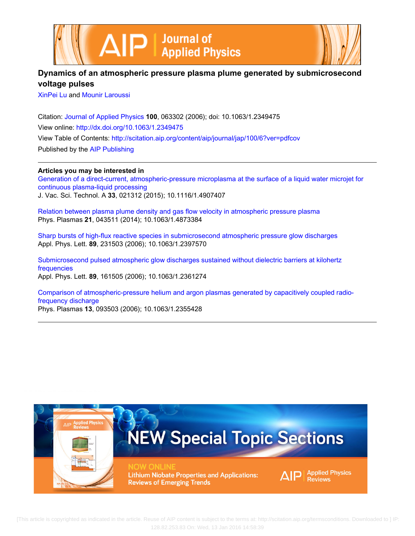



# **Dynamics of an atmospheric pressure plasma plume generated by submicrosecond voltage pulses**

[XinPei Lu](http://scitation.aip.org/search?value1=XinPei+Lu&option1=author) and [Mounir Laroussi](http://scitation.aip.org/search?value1=Mounir+Laroussi&option1=author)

Citation: [Journal of Applied Physics](http://scitation.aip.org/content/aip/journal/jap?ver=pdfcov) **100**, 063302 (2006); doi: 10.1063/1.2349475 View online: <http://dx.doi.org/10.1063/1.2349475> View Table of Contents: <http://scitation.aip.org/content/aip/journal/jap/100/6?ver=pdfcov> Published by the [AIP Publishing](http://scitation.aip.org/content/aip?ver=pdfcov)

## **Articles you may be interested in**

[Generation of a direct-current, atmospheric-pressure microplasma at the surface of a liquid water microjet for](http://scitation.aip.org/content/avs/journal/jvsta/33/2/10.1116/1.4907407?ver=pdfcov) [continuous plasma-liquid processing](http://scitation.aip.org/content/avs/journal/jvsta/33/2/10.1116/1.4907407?ver=pdfcov) J. Vac. Sci. Technol. A **33**, 021312 (2015); 10.1116/1.4907407

[Relation between plasma plume density and gas flow velocity in atmospheric pressure plasma](http://scitation.aip.org/content/aip/journal/pop/21/4/10.1063/1.4873384?ver=pdfcov) Phys. Plasmas **21**, 043511 (2014); 10.1063/1.4873384

[Sharp bursts of high-flux reactive species in submicrosecond atmospheric pressure glow discharges](http://scitation.aip.org/content/aip/journal/apl/89/23/10.1063/1.2397570?ver=pdfcov) Appl. Phys. Lett. **89**, 231503 (2006); 10.1063/1.2397570

[Submicrosecond pulsed atmospheric glow discharges sustained without dielectric barriers at kilohertz](http://scitation.aip.org/content/aip/journal/apl/89/16/10.1063/1.2361274?ver=pdfcov) [frequencies](http://scitation.aip.org/content/aip/journal/apl/89/16/10.1063/1.2361274?ver=pdfcov) Appl. Phys. Lett. **89**, 161505 (2006); 10.1063/1.2361274

[Comparison of atmospheric-pressure helium and argon plasmas generated by capacitively coupled radio](http://scitation.aip.org/content/aip/journal/pop/13/9/10.1063/1.2355428?ver=pdfcov)[frequency discharge](http://scitation.aip.org/content/aip/journal/pop/13/9/10.1063/1.2355428?ver=pdfcov) Phys. Plasmas **13**, 093503 (2006); 10.1063/1.2355428

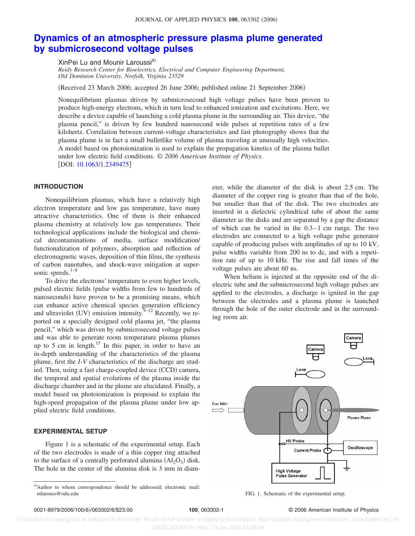# **[Dynamics of an atmospheric pressure plasma plume generated](http://dx.doi.org/10.1063/1.2349475) [by submicrosecond voltage pulses](http://dx.doi.org/10.1063/1.2349475)**

XinPei Lu and Mounir Laroussi<sup>a)</sup>

*Reidy Research Center for Bioelectrics, Electrical and Computer Engineering Department, Old Dominion University, Norfolk, Virginia 23529*

Received 23 March 2006; accepted 26 June 2006; published online 21 September 2006-

Nonequilibrium plasmas driven by submicrosecond high voltage pulses have been proven to produce high-energy electrons, which in turn lead to enhanced ionization and excitations. Here, we describe a device capable of launching a cold plasma plume in the surrounding air. This device, "the plasma pencil," is driven by few hundred nanosecond wide pulses at repetition rates of a few kilohertz. Correlation between current-voltage characteristics and fast photography shows that the plasma plume is in fact a small bulletlike volume of plasma traveling at unusually high velocities. A model based on photoionization is used to explain the propagation kinetics of the plasma bullet under low electric field conditions. © *2006 American Institute of Physics*. [DOI: [10.1063/1.2349475](http://dx.doi.org/10.1063/1.2349475)]

### **INTRODUCTION**

Nonequilibrium plasmas, which have a relatively high electron temperature and low gas temperature, have many attractive characteristics. One of them is their enhanced plasma chemistry at relatively low gas temperatures. Their technological applications include the biological and chemical decontaminations of media, surface modification/ functionalization of polymers, absorption and reflection of electromagnetic waves, deposition of thin films, the synthesis of carbon nanotubes, and shock-wave mitigation at supersonic speeds. $1-8$ 

To drive the electrons' temperature to even higher levels, pulsed electric fields (pulse widths from few to hundreds of nanoseconds) have proven to be a promising means, which can enhance active chemical species generation efficiency and ultraviolet (UV) emission intensity.  $9-12$  Recently, we reported on a specially designed cold plasma jet, "the plasma pencil," which was driven by submicrosecond voltage pulses and was able to generate room temperature plasma plumes up to 5 cm in length. $^{13}$  In this paper, in order to have an in-depth understanding of the characteristics of the plasma plume, first the *I*-*V* characteristics of the discharge are studied. Then, using a fast charge-coupled device (CCD) camera, the temporal and spatial evolutions of the plasma inside the discharge chamber and in the plume are elucidated. Finally, a model based on photoionization is proposed to explain the high-speed propagation of the plasma plume under low applied electric field conditions.

#### **EXPERIMENTAL SETUP**

Figure 1 is a schematic of the experimental setup. Each of the two electrodes is made of a thin copper ring attached to the surface of a centrally perforated alumina  $(Al_2O_3)$  disk. The hole in the center of the alumina disk is 3 mm in diameter, while the diameter of the disk is about 2.5 cm. The diameter of the copper ring is greater than that of the hole, but smaller than that of the disk. The two electrodes are inserted in a dielectric cylindrical tube of about the same diameter as the disks and are separated by a gap the distance of which can be varied in the 0.3–1 cm range. The two electrodes are connected to a high voltage pulse generator capable of producing pulses with amplitudes of up to 10 kV, pulse widths variable from 200 ns to dc, and with a repetition rate of up to 10 kHz. The rise and fall times of the voltage pulses are about 60 ns.

When helium is injected at the opposite end of the dielectric tube and the submicrosecond high voltage pulses are applied to the electrodes, a discharge is ignited in the gap between the electrodes and a plasma plume is launched through the hole of the outer electrode and in the surrounding room air.



6/063302/6/\$23.00 © 2006 American Institute of Physics **100**, 063302-1

 [This article is copyrighted as indicated in the article. Reuse of AIP content is subject to the terms at: http://scitation.aip.org/termsconditions. Downloaded to ] IP: 128.82.253.83 On: Wed, 13 Jan 2016 14:58:39

a)Author to whom correspondence should be addressed; electronic mail: mlarouss@odu.edu FIG. 1. Schematic of the experimental setup.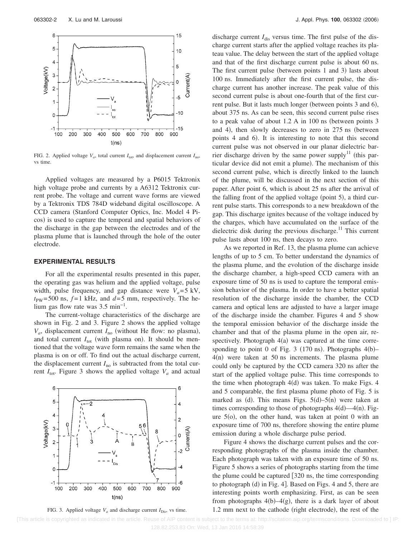

FIG. 2. Applied voltage  $V_a$ , total current  $I_{\text{tot}}$ , and displacement current  $I_{\text{no}}$ , vs time.

Applied voltages are measured by a P6015 Tektronix high voltage probe and currents by a A6312 Tektronix current probe. The voltage and current wave forms are viewed by a Tektronix TDS 784D wideband digital oscilloscope. A CCD camera (Stanford Computer Optics, Inc. Model 4 Picos) is used to capture the temporal and spatial behaviors of the discharge in the gap between the electrodes and of the plasma plume that is launched through the hole of the outer electrode.

#### **EXPERIMENTAL RESULTS**

For all the experimental results presented in this paper, the operating gas was helium and the applied voltage, pulse width, pulse frequency, and gap distance were  $V_a = 5$  kV,  $t_{\text{PW}}$ =500 ns,  $f$ =1 kHz, and  $d$ =5 mm, respectively. The helium gas flow rate was 3.5 min−1.

The current-voltage characteristics of the discharge are shown in Fig. 2 and 3. Figure 2 shows the applied voltage  $V_a$ , displacement current  $I_{\text{no}}$  (without He flow: no plasma), and total current  $I_{\text{tot}}$  (with plasma on). It should be mentioned that the voltage wave form remains the same when the plasma is on or off. To find out the actual discharge current, the displacement current  $I_{\text{no}}$  is subtracted from the total current  $I_{\text{tot}}$ . Figure 3 shows the applied voltage  $V_a$  and actual





discharge current  $I_{\text{dis}}$  versus time. The first pulse of the discharge current starts after the applied voltage reaches its plateau value. The delay between the start of the applied voltage and that of the first discharge current pulse is about 60 ns. The first current pulse (between points 1 and 3) lasts about 100 ns. Immediately after the first current pulse, the discharge current has another increase. The peak value of this second current pulse is about one-fourth that of the first current pulse. But it lasts much longer (between points 3 and 6), about 375 ns. As can be seen, this second current pulse rises to a peak value of about  $1.2 \text{ A}$  in  $100 \text{ ns}$  (between points 3 and 4), then slowly decreases to zero in 275 ns (between points 4 and 6). It is interesting to note that this second current pulse was not observed in our planar dielectric barrier discharge driven by the same power supply<sup>11</sup> (this particular device did not emit a plume). The mechanism of this second current pulse, which is directly linked to the launch of the plume, will be discussed in the next section of this paper. After point 6, which is about 25 ns after the arrival of the falling front of the applied voltage (point 5), a third current pulse starts. This corresponds to a new breakdown of the gap. This discharge ignites because of the voltage induced by the charges, which have accumulated on the surface of the dielectric disk during the previous discharge.<sup>11</sup> This current pulse lasts about 100 ns, then decays to zero.

As we reported in Ref. 13, the plasma plume can achieve lengths of up to 5 cm. To better understand the dynamics of the plasma plume, and the evolution of the discharge inside the discharge chamber, a high-speed CCD camera with an exposure time of 50 ns is used to capture the temporal emission behavior of the plasma. In order to have a better spatial resolution of the discharge inside the chamber, the CCD camera and optical lens are adjusted to have a larger image of the discharge inside the chamber. Figures 4 and 5 show the temporal emission behavior of the discharge inside the chamber and that of the plasma plume in the open air, respectively. Photograph 4(a) was captured at the time corresponding to point 0 of Fig. 3 (170 ns). Photographs  $4(b)$ - $4(n)$  were taken at 50 ns increments. The plasma plume could only be captured by the CCD camera 320 ns after the start of the applied voltage pulse. This time corresponds to the time when photograph  $4(d)$  was taken. To make Figs. 4 and 5 comparable, the first plasma plume photo of Fig. 5 is marked as  $(d)$ . This means Figs.  $5(d)$ - $5(n)$  were taken at times corresponding to those of photographs  $4(d)$ — $4(n)$ . Figure  $5$ (o), on the other hand, was taken at point 0 with an exposure time of 700 ns, therefore showing the entire plume emission during a whole discharge pulse period.

Figure 4 shows the discharge current pulses and the corresponding photographs of the plasma inside the chamber. Each photograph was taken with an exposure time of 50 ns. Figure 5 shows a series of photographs starting from the time the plume could be captured  $[320 \text{ ns}]$ , the time corresponding to photograph (d) in Fig. 4]. Based on Figs. 4 and 5, there are interesting points worth emphasizing. First, as can be seen from photographs  $4(b) - 4(g)$ , there is a dark layer of about 1.2 mm next to the cathode (right electrode), the rest of the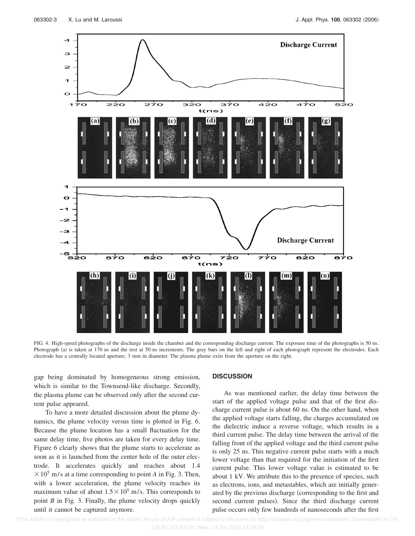

FIG. 4. High-speed photographs of the discharge inside the chamber and the corresponding discharge current. The exposure time of the photographs is 50 ns. Photograph (a) is taken at 170 ns and the rest at 50 ns increments. The gray bars on the left and right of each photograph represent the electrodes. Each electrode has a centrally located aperture, 3 mm in diameter. The plasma plume exits from the aperture on the right.

gap being dominated by homogeneous strong emission, which is similar to the Townsend-like discharge. Secondly, the plasma plume can be observed only after the second current pulse appeared.

To have a more detailed discussion about the plume dynamics, the plume velocity versus time is plotted in Fig. 6. Because the plume location has a small fluctuation for the same delay time, five photos are taken for every delay time. Figure 6 clearly shows that the plume starts to accelerate as soon as it is launched from the center hole of the outer electrode. It accelerates quickly and reaches about 1.4  $\times$  10<sup>5</sup> m/s at a time corresponding to point *A* in Fig. 3. Then, with a lower acceleration, the plume velocity reaches its maximum value of about  $1.5 \times 10^5$  m/s. This corresponds to point *B* in Fig. 3. Finally, the plume velocity drops quickly until it cannot be captured anymore.

#### **DISCUSSION**

As was mentioned earlier, the delay time between the start of the applied voltage pulse and that of the first discharge current pulse is about 60 ns. On the other hand, when the applied voltage starts falling, the charges accumulated on the dielectric induce a reverse voltage, which results in a third current pulse. The delay time between the arrival of the falling front of the applied voltage and the third current pulse is only 25 ns. This negative current pulse starts with a much lower voltage than that required for the initiation of the first current pulse. This lower voltage value is estimated to be about 1 kV. We attribute this to the presence of species, such as electrons, ions, and metastables, which are initially generated by the previous discharge (corresponding to the first and second current pulses). Since the third discharge current pulse occurs only few hundreds of nanoseconds after the first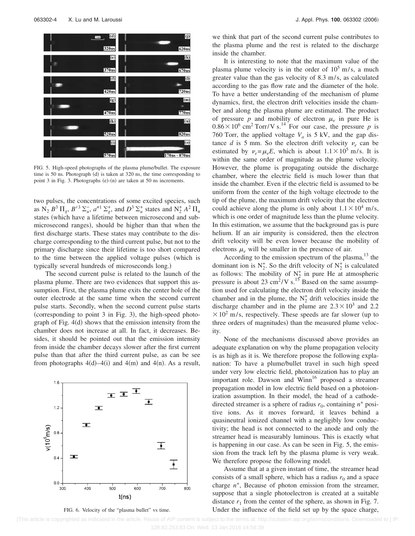

FIG. 5. High-speed photographs of the plasma plume/bullet. The exposure time is 50 ns. Photograph (d) is taken at 320 ns, the time corresponding to point 3 in Fig. 3. Photographs (e)-(n) are taken at 50 ns increments.

two pulses, the concentrations of some excited species, such as  $N_2 B^3 \Pi_g$ ,  $B'^3 \Sigma_u^-, a''^1 \Sigma_g^+,$  and  $D^3 \Sigma_u^+$  states and  $N_2^+ A^2 \Pi_u$ states (which have a lifetime between microsecond and submicrosecond ranges), should be higher than that when the first discharge starts. These states may contribute to the discharge corresponding to the third current pulse, but not to the primary discharge since their lifetime is too short compared to the time between the applied voltage pulses (which is typically several hundreds of microseconds long.)

The second current pulse is related to the launch of the plasma plume. There are two evidences that support this assumption. First, the plasma plume exits the center hole of the outer electrode at the same time when the second current pulse starts. Secondly, when the second current pulse starts (corresponding to point 3 in Fig. 3), the high-speed photograph of Fig. 4(d) shows that the emission intensity from the chamber does not increase at all. In fact, it decreases. Besides, it should be pointed out that the emission intensity from inside the chamber decays slower after the first current pulse than that after the third current pulse, as can be see from photographs  $4(d) - 4(i)$  and  $4(m)$  and  $4(n)$ . As a result,



FIG. 6. Velocity of the "plasma bullet" vs time.

we think that part of the second current pulse contributes to the plasma plume and the rest is related to the discharge inside the chamber.

It is interesting to note that the maximum value of the plasma plume velocity is in the order of  $10^5$  m/s, a much greater value than the gas velocity of 8.3 m/s, as calculated according to the gas flow rate and the diameter of the hole. To have a better understanding of the mechanism of plume dynamics, first, the electron drift velocities inside the chamber and along the plasma plume are estimated. The product of pressure  $p$  and mobility of electron  $\mu_e$  in pure He is  $0.86 \times 10^6$  cm<sup>2</sup> Torr/V s.<sup>14</sup> For our case, the pressure *p* is 760 Torr, the applied voltage  $V_a$  is 5 kV, and the gap distance *d* is 5 mm. So the electron drift velocity  $\nu_e$  can be estimated by  $\nu_e = \mu_e E$ , which is about  $1.1 \times 10^5$  m/s. It is within the same order of magnitude as the plume velocity. However, the plume is propagating outside the discharge chamber, where the electric field is much lower than that inside the chamber. Even if the electric field is assumed to be uniform from the center of the high voltage electrode to the tip of the plume, the maximum drift velocity that the electron could achieve along the plume is only about  $1.1 \times 10^4$  m/s, which is one order of magnitude less than the plume velocity. In this estimation, we assume that the background gas is pure helium. If an air impurity is considered, then the electron drift velocity will be even lower because the mobility of electrons  $\mu_e$  will be smaller in the presence of air.

According to the emission spectrum of the plasma, $^{13}$  the dominant ion is  $N_2^+$ . So the drift velocity of  $N_2^+$  is calculated as follows: The mobility of  $N_2^+$  in pure He at atmospheric pressure is about 23  $\text{cm}^2/\text{V s}$ .<sup>15</sup> Based on the same assumption used for calculating the electron drift velocity inside the chamber and in the plume, the  $N_2^+$  drift velocities inside the discharge chamber and in the plume are  $2.3 \times 10^3$  and 2.2  $\times$  10<sup>2</sup> m/s, respectively. These speeds are far slower (up to three orders of magnitudes) than the measured plume velocity.

None of the mechanisms discussed above provides an adequate explanation on why the plume propagation velocity is as high as it is. We therefore propose the following explanation: To have a plume/bullet travel in such high speed under very low electric field, photoionization has to play an important role. Dawson and  $Winn<sup>16</sup>$  proposed a streamer propagation model in low electric field based on a photoionization assumption. In their model, the head of a cathodedirected streamer is a sphere of radius  $r_0$ , containing  $n^+$  positive ions. As it moves forward, it leaves behind a quasineutral ionized channel with a negligibly low conductivity; the head is not connected to the anode and only the streamer head is measurably luminous. This is exactly what is happening in our case. As can be seen in Fig. 5, the emission from the track left by the plasma plume is very weak. We therefore propose the following model.

Assume that at a given instant of time, the streamer head consists of a small sphere, which has a radius  $r_0$  and a space charge  $n^+$ , Because of photon emission from the streamer, suppose that a single photoelectron is created at a suitable distance  $r_1$  from the center of the sphere, as shown in Fig. 7. Under the influence of the field set up by the space charge,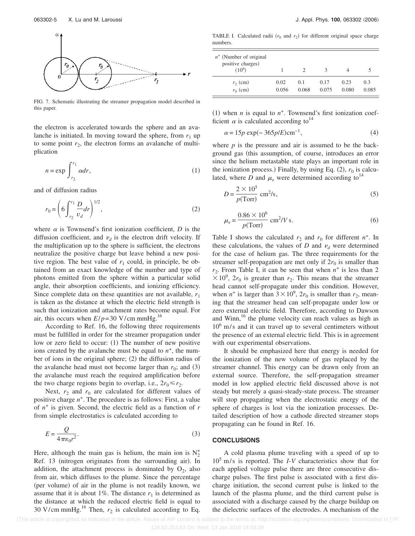

FIG. 7. Schematic illustrating the streamer propagation model described in this paper.

the electron is accelerated towards the sphere and an avalanche is initiated. In moving toward the sphere, from  $r_1$  up to some point  $r_2$ , the electron forms an avalanche of multiplication

$$
n = \exp \int_{r_2}^{r_1} \alpha dr,
$$
 (1)

and of diffusion radius

$$
r_0 = \left(6 \int_{r_2}^{r_1} \frac{D}{v_d} dr\right)^{1/2},\tag{2}
$$

where  $\alpha$  is Townsend's first ionization coefficient, *D* is the diffusion coefficient, and  $\nu_d$  is the electron drift velocity. If the multiplication up to the sphere is sufficient, the electrons neutralize the positive charge but leave behind a new positive region. The best value of  $r_1$  could, in principle, be obtained from an exact knowledge of the number and type of photons emitted from the sphere within a particular solid angle, their absorption coefficients, and ionizing efficiency. Since complete data on these quantities are not available, *r*<sup>1</sup> is taken as the distance at which the electric field strength is such that ionization and attachment rates become equal. For air, this occurs when  $E/p=30$  V/cm mmHg.<sup>16</sup>

According to Ref. 16, the following three requirements must be fulfilled in order for the streamer propagation under low or zero field to occur: (1) The number of new positive ions created by the avalanche must be equal to  $n^+$ , the number of ions in the original sphere; (2) the diffusion radius of the avalanche head must not become larger than  $r_0$ ; and (3) the avalanche must reach the required amplification before the two charge regions begin to overlap, i.e.,  $2r_0 \le r_2$ .

Next,  $r_2$  and  $r_0$  are calculated for different values of positive charge  $n^+$ . The procedure is as follows: First, a value of *n*<sup>+</sup> is given. Second, the electric field as a function of *r* from simple electrostatics is calculated according to

$$
E = \frac{Q}{4\pi\epsilon_0 r^2}.
$$
 (3)

Here, although the main gas is helium, the main ion is  $N_2^+$ Ref. 13 (nitrogen originates from the surrounding air). In addition, the attachment process is dominated by  $O_2$ , also from air, which diffuses to the plume. Since the percentage (per volume) of air in the plume is not readily known, we assume that it is about 1%. The distance  $r_1$  is determined as the distance at which the reduced electric field is equal to 30 V/cm mmHg.<sup>16</sup> Then,  $r_2$  is calculated according to Eq.

TABLE I. Calculated radii  $(r_0$  and  $r_2)$  for different original space charge numbers.

| $n^+$ (Number of original<br>positive charges)<br>$(10^9)$ |       |       |       |       |       |
|------------------------------------------------------------|-------|-------|-------|-------|-------|
| $r_2$ (cm)                                                 | 0.02  | 0.1   | 0.17  | 0.23  | 0.3   |
| $r_0$ (cm)                                                 | 0.056 | 0.068 | 0.075 | 0.080 | 0.085 |

(1) when *n* is equal to  $n^+$ . Townsend's first ionization coefficient  $\alpha$  is calculated according to<sup>14</sup>

$$
\alpha = 15p \exp(-365p/E) \text{cm}^{-1},\tag{4}
$$

where  $p$  is the pressure and air is assumed to be the background gas (this assumption, of course, introduces an error since the helium metastable state plays an important role in the ionization process.) Finally, by using Eq.  $(2)$ ,  $r_0$  is calculated, where *D* and  $\mu_e$  were determined according to<sup>14</sup>

$$
D = \frac{2 \times 10^5}{p(Torr)} \text{ cm}^2\text{/s},\tag{5}
$$

$$
\mu_e = \frac{0.86 \times 10^6}{p(\text{Torr})} \text{ cm}^2 / V \text{ s.}
$$
 (6)

Table I shows the calculated  $r_2$  and  $r_0$  for different  $n^+$ . In these calculations, the values of  $D$  and  $\nu_d$  were determined for the case of helium gas. The three requirements for the streamer self-propagation are met only if  $2r_0$  is smaller than  $r_2$ . From Table I, it can be seen that when  $n^+$  is less than 2  $\times 10^9$ ,  $2r_0$  is greater than  $r_2$ . This means that the streamer head cannot self-propagate under this condition. However, when  $n^+$  is larger than  $3 \times 10^9$ ,  $2r_0$  is smaller than  $r_2$ , meaning that the streamer head can self-propagate under low or zero external electric field. Therefore, according to Dawson and Winn, $16$  the plume velocity can reach values as high as  $10^6$  m/s and it can travel up to several centimeters without the presence of an external electric field. This is in agreement with our experimental observations.

It should be emphasized here that energy is needed for the ionization of the new volume of gas replaced by the streamer channel. This energy can be drawn only from an external source. Therefore, the self-propagation streamer model in low applied electric field discussed above is not steady but merely a quasi-steady-state process. The streamer will stop propagating when the electrostatic energy of the sphere of charges is lost via the ionization processes. Detailed description of how a cathode directed streamer stops propagating can be found in Ref. 16.

#### **CONCLUSIONS**

A cold plasma plume traveling with a speed of up to 105 m/s is reported. The *I*-*V* characteristics show that for each applied voltage pulse there are three consecutive discharge pulses. The first pulse is associated with a first discharge initiation, the second current pulse is linked to the launch of the plasma plume, and the third current pulse is associated with a discharge caused by the charge buildup on the dielectric surfaces of the electrodes. A mechanism of the